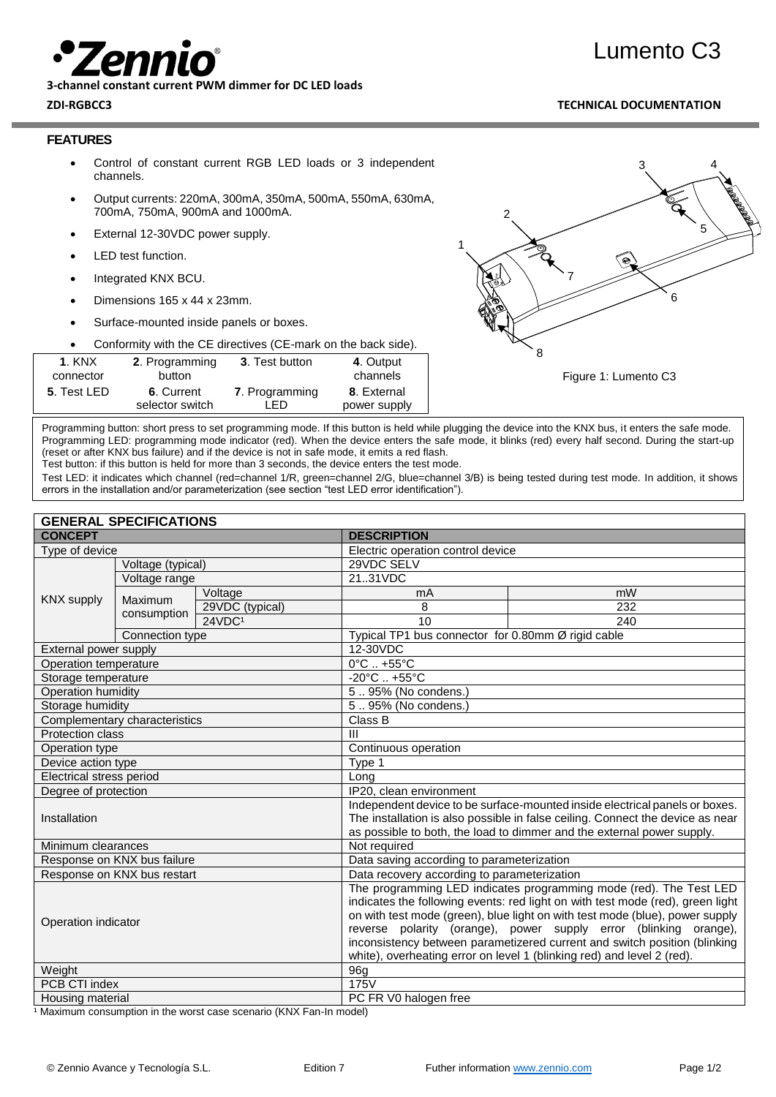

**3-channel constant current PWM dimmer for DC LED loads**

## **ZDI-RGBCC3 TECHNICAL DOCUMENTATION**

Lumento C3

#### **FEATURES**

- Control of constant current RGB LED loads or 3 independent channels.
- Output currents: 220mA, 300mA, 350mA, 500mA, 550mA, 630mA, 700mA, 750mA, 900mA and 1000mA.
- External 12-30VDC power supply.
- LED test function.
- Integrated KNX BCU.
- Dimensions 165 x 44 x 23mm.
- Surface-mounted inside panels or boxes.

• Conformity with the CE directives (CE-mark on the back side).

| <b>1. KNX</b>       | 2. Programming  | 3. Test button | 4. Output    |
|---------------------|-----------------|----------------|--------------|
| connector           | button          |                | channels     |
| <b>5</b> . Test LED | 6. Current      | 7. Programming | 8. External  |
|                     | selector switch | I FD.          | power supply |

Figure 1: Lumento C3 3 4 5 7 8 6 1 2

Programming button: short press to set programming mode. If this button is held while plugging the device into the KNX bus, it enters the safe mode. Programming LED: programming mode indicator (red). When the device enters the safe mode, it blinks (red) every half second. During the start-up (reset or after KNX bus failure) and if the device is not in safe mode, it emits a red flash.

Test button: if this button is held for more than 3 seconds, the device enters the test mode.

Test LED: it indicates which channel (red=channel 1/R, green=channel 2/G, blue=channel 3/B) is being tested during test mode. In addition, it shows errors in the installation and/or parameterization (see section "test LED error identification").

| <b>DESCRIPTION</b><br>Electric operation control device                                                                                              |  |  |
|------------------------------------------------------------------------------------------------------------------------------------------------------|--|--|
|                                                                                                                                                      |  |  |
|                                                                                                                                                      |  |  |
|                                                                                                                                                      |  |  |
|                                                                                                                                                      |  |  |
|                                                                                                                                                      |  |  |
|                                                                                                                                                      |  |  |
| Typical TP1 bus connector for 0.80mm Ø rigid cable<br>12-30VDC                                                                                       |  |  |
| $0^{\circ}$ C $. +55^{\circ}$ C                                                                                                                      |  |  |
|                                                                                                                                                      |  |  |
| $-20^{\circ}$ C  +55 $^{\circ}$ C<br>$\overline{5}$ 95% (No condens.)                                                                                |  |  |
| 595% (No condens.)                                                                                                                                   |  |  |
| Class B                                                                                                                                              |  |  |
| $\mathbf{III}$                                                                                                                                       |  |  |
| Continuous operation                                                                                                                                 |  |  |
| Type 1                                                                                                                                               |  |  |
| Long                                                                                                                                                 |  |  |
| IP20, clean environment                                                                                                                              |  |  |
| Independent device to be surface-mounted inside electrical panels or boxes.                                                                          |  |  |
| The installation is also possible in false ceiling. Connect the device as near                                                                       |  |  |
| as possible to both, the load to dimmer and the external power supply.                                                                               |  |  |
| Not required                                                                                                                                         |  |  |
| Data saving according to parameterization                                                                                                            |  |  |
| Data recovery according to parameterization                                                                                                          |  |  |
| The programming LED indicates programming mode (red). The Test LED<br>indicates the following events: red light on with test mode (red), green light |  |  |
| on with test mode (green), blue light on with test mode (blue), power supply                                                                         |  |  |
| reverse polarity (orange), power supply error (blinking orange),                                                                                     |  |  |
| inconsistency between parametizered current and switch position (blinking                                                                            |  |  |
| white), overheating error on level 1 (blinking red) and level 2 (red).                                                                               |  |  |
| 96g                                                                                                                                                  |  |  |
| 175V                                                                                                                                                 |  |  |
| PC FR V0 halogen free                                                                                                                                |  |  |
|                                                                                                                                                      |  |  |

<sup>1</sup> Maximum consumption in the worst case scenario (KNX Fan-In model)